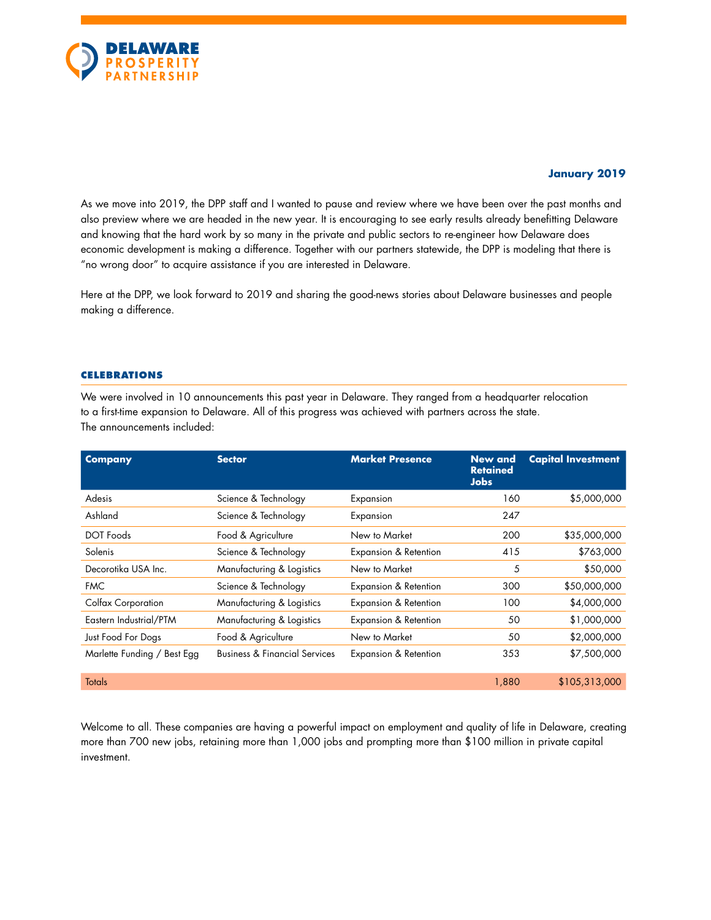

# **January 2019**

As we move into 2019, the DPP staff and I wanted to pause and review where we have been over the past months and also preview where we are headed in the new year. It is encouraging to see early results already benefitting Delaware and knowing that the hard work by so many in the private and public sectors to re-engineer how Delaware does economic development is making a difference. Together with our partners statewide, the DPP is modeling that there is "no wrong door" to acquire assistance if you are interested in Delaware.

Here at the DPP, we look forward to 2019 and sharing the good-news stories about Delaware businesses and people making a difference.

#### **CELEBRATIONS**

We were involved in 10 announcements this past year in Delaware. They ranged from a headquarter relocation to a first-time expansion to Delaware. All of this progress was achieved with partners across the state. The announcements included:

| <b>Company</b>              | <b>Sector</b>                            | <b>Market Presence</b> | <b>New and</b><br><b>Retained</b><br><b>Jobs</b> | <b>Capital Investment</b> |
|-----------------------------|------------------------------------------|------------------------|--------------------------------------------------|---------------------------|
| Adesis                      | Science & Technology                     | Expansion              | 160                                              | \$5,000,000               |
| Ashland                     | Science & Technology                     | Expansion              | 247                                              |                           |
| DOT Foods                   | Food & Agriculture                       | New to Market          | 200                                              | \$35,000,000              |
| Solenis                     | Science & Technology                     | Expansion & Retention  | 415                                              | \$763,000                 |
| Decorotika USA Inc.         | Manufacturing & Logistics                | New to Market          | 5                                                | \$50,000                  |
| <b>FMC</b>                  | Science & Technology                     | Expansion & Retention  | 300                                              | \$50,000,000              |
| Colfax Corporation          | Manufacturing & Logistics                | Expansion & Retention  | 100                                              | \$4,000,000               |
| Eastern Industrial/PTM      | Manufacturing & Logistics                | Expansion & Retention  | 50                                               | \$1,000,000               |
| Just Food For Dogs          | Food & Agriculture                       | New to Market          | 50                                               | \$2,000,000               |
| Marlette Funding / Best Egg | <b>Business &amp; Financial Services</b> | Expansion & Retention  | 353                                              | \$7,500,000               |
| <b>Totals</b>               |                                          |                        | 1,880                                            | \$105,313,000             |

Welcome to all. These companies are having a powerful impact on employment and quality of life in Delaware, creating more than 700 new jobs, retaining more than 1,000 jobs and prompting more than \$100 million in private capital investment.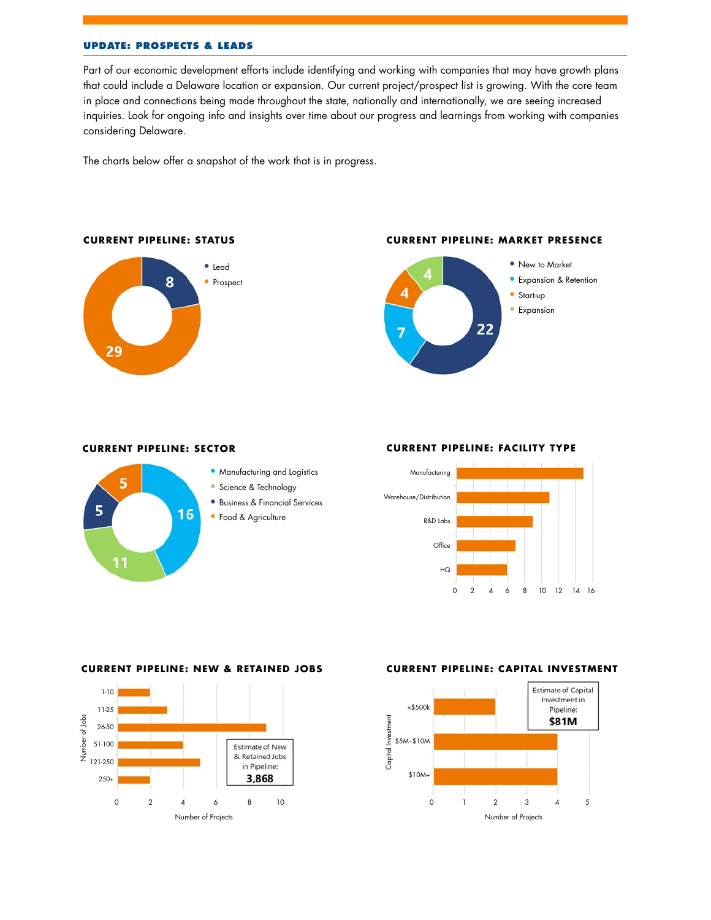# **UPDATE: PROSPECTS & LEADS**

Part of our economic development efforts include identifying and working with companies that may have growth plans that could include a Delaware location or expansion. Our current project/prospect list is growing. With the core team in place and connections being made throughout the state, nationally and internationally, we are seeing increased inquiries. Look for ongoing info and insights over time about our progress and learnings from working with companies considering Delaware.

The charts below offer a snapshot of the work that is in progress.



#### **CURRENT PIPELINE: STATUS**

# **CURRENT PIPELINE: MARKET PRESENCE**



# **CURRENT PIPELINE: SECTOR**

16

5

11

5



- Science & Technology
- Business & Financial Services
- Food & Agriculture

# **CURRENT PIPELINE: FACILITY TYPE**



## **CURRENT PIPELINE: NEW & RETAINED JOBS**



#### **CURRENT PIPELINE: CAPITAL INVESTMENT**

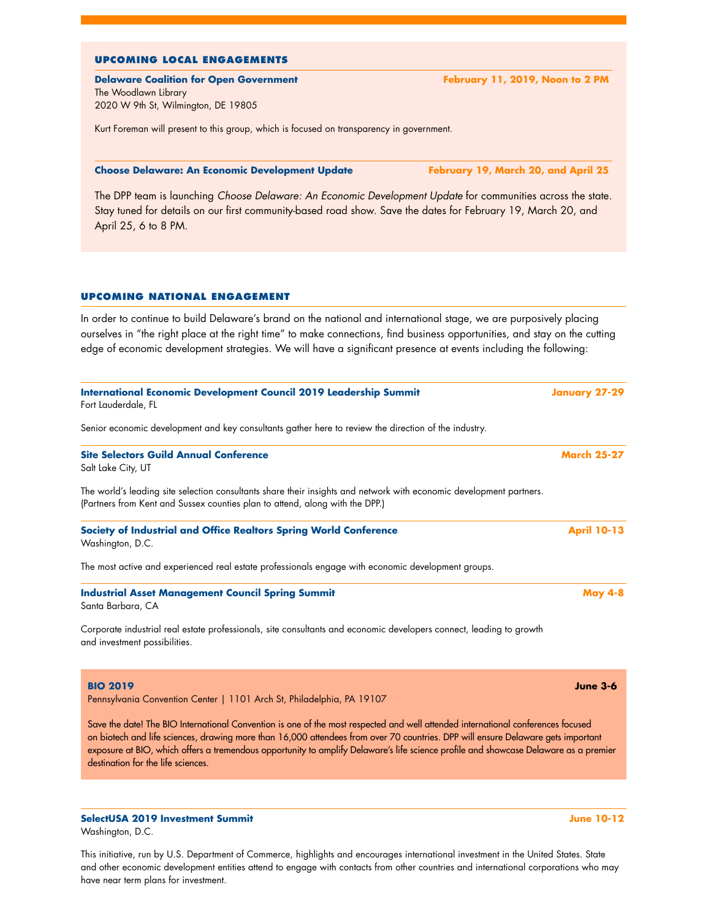#### **UPCOMING LOCAL ENGAGEMENTS**

**Delaware Coalition for Open Government February 11, 2019, Noon to 2 PM** The Woodlawn Library 2020 W 9th St, Wilmington, DE 19805

Kurt Foreman will present to this group, which is focused on transparency in government.

#### **Choose Delaware: An Economic Development Update February 19, March 20, and April 25**

The DPP team is launching *Choose Delaware: An Economic Development Update* for communities across the state. Stay tuned for details on our first community-based road show. Save the dates for February 19, March 20, and April 25, 6 to 8 PM.

#### **UPCOMING NATIONAL ENGAGEMENT**

In order to continue to build Delaware's brand on the national and international stage, we are purposively placing ourselves in "the right place at the right time" to make connections, find business opportunities, and stay on the cutting edge of economic development strategies. We will have a significant presence at events including the following:

| International Economic Development Council 2019 Leadership Summit<br>Fort Lauderdale, FL                                                                                                                                                                                                                                                                                                                                                           | <b>January 27-29</b> |
|----------------------------------------------------------------------------------------------------------------------------------------------------------------------------------------------------------------------------------------------------------------------------------------------------------------------------------------------------------------------------------------------------------------------------------------------------|----------------------|
| Senior economic development and key consultants gather here to review the direction of the industry.                                                                                                                                                                                                                                                                                                                                               |                      |
| <b>Site Selectors Guild Annual Conference</b><br>Salt Lake City, UT                                                                                                                                                                                                                                                                                                                                                                                | <b>March 25-27</b>   |
| The world's leading site selection consultants share their insights and network with economic development partners.<br>(Partners from Kent and Sussex counties plan to attend, along with the DPP.)                                                                                                                                                                                                                                                |                      |
| Society of Industrial and Office Realtors Spring World Conference<br>Washington, D.C.                                                                                                                                                                                                                                                                                                                                                              | <b>April 10-13</b>   |
| The most active and experienced real estate professionals engage with economic development groups.                                                                                                                                                                                                                                                                                                                                                 |                      |
| <b>Industrial Asset Management Council Spring Summit</b><br>Santa Barbara, CA                                                                                                                                                                                                                                                                                                                                                                      | <b>May 4-8</b>       |
| Corporate industrial real estate professionals, site consultants and economic developers connect, leading to growth<br>and investment possibilities.                                                                                                                                                                                                                                                                                               |                      |
| <b>BIO 2019</b><br>Pennsylvania Convention Center   1101 Arch St, Philadelphia, PA 19107                                                                                                                                                                                                                                                                                                                                                           | <b>June 3-6</b>      |
| Save the date! The BIO International Convention is one of the most respected and well attended international conferences focused<br>on biotech and life sciences, drawing more than 16,000 attendees from over 70 countries. DPP will ensure Delaware gets important<br>exposure at BIO, which offers a tremendous opportunity to amplify Delaware's life science profile and showcase Delaware as a premier<br>destination for the life sciences. |                      |

Washington, D.C.

This initiative, run by U.S. Department of Commerce, highlights and encourages international investment in the United States. State and other economic development entities attend to engage with contacts from other countries and international corporations who may have near term plans for investment.

**SelectUSA 2019 Investment Summit June 10-12**